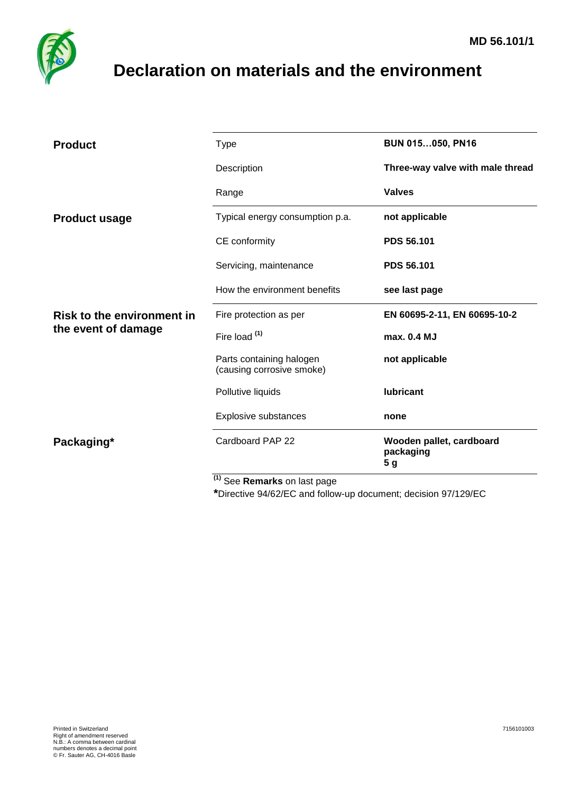

## <span id="page-0-0"></span>**Declaration on materials and the environment**

| <b>Product</b>                                           | <b>Type</b>                                           | <b>BUN 015050, PN16</b>                      |
|----------------------------------------------------------|-------------------------------------------------------|----------------------------------------------|
|                                                          | Description                                           | Three-way valve with male thread             |
|                                                          | Range                                                 | <b>Valves</b>                                |
| <b>Product usage</b>                                     | Typical energy consumption p.a.                       | not applicable                               |
|                                                          | CE conformity                                         | <b>PDS 56.101</b>                            |
|                                                          | Servicing, maintenance                                | <b>PDS 56.101</b>                            |
|                                                          | How the environment benefits                          | see last page                                |
| <b>Risk to the environment in</b><br>the event of damage | Fire protection as per                                | EN 60695-2-11, EN 60695-10-2                 |
|                                                          | Fire load (1)                                         | max. 0.4 MJ                                  |
|                                                          | Parts containing halogen<br>(causing corrosive smoke) | not applicable                               |
|                                                          | Pollutive liquids                                     | <b>lubricant</b>                             |
|                                                          | Explosive substances                                  | none                                         |
| Packaging*                                               | Cardboard PAP 22                                      | Wooden pallet, cardboard<br>packaging<br>5 g |
|                                                          | $(1)$ $\sim$<br>$\sim$                                |                                              |

**(1)** See **Remarks** on last page

**\***Directive 94/62/EC and follow-up document; decision 97/129/EC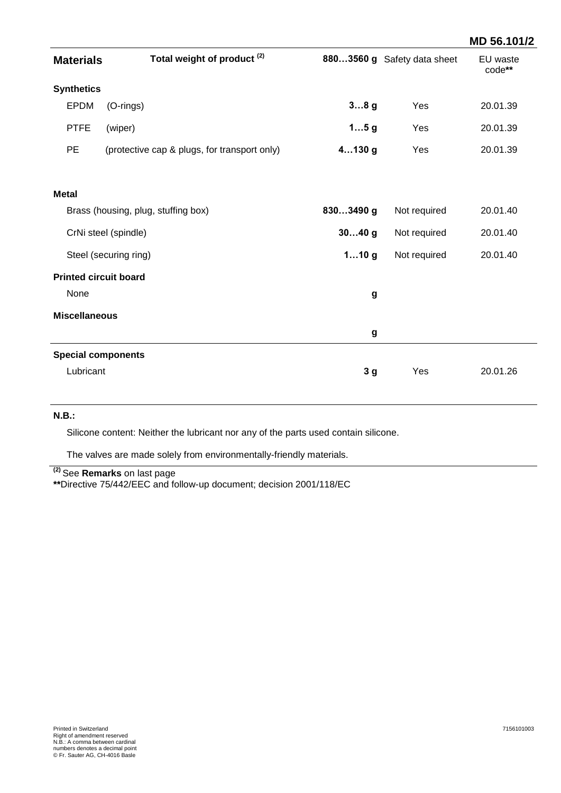|                                     |                                              |                |                             | MD 56.101/2        |
|-------------------------------------|----------------------------------------------|----------------|-----------------------------|--------------------|
| <b>Materials</b>                    | Total weight of product <sup>(2)</sup>       |                | 8803560 g Safety data sheet | EU waste<br>code** |
| <b>Synthetics</b>                   |                                              |                |                             |                    |
| <b>EPDM</b>                         | (O-rings)                                    | 38g            | Yes                         | 20.01.39           |
| <b>PTFE</b>                         | (wiper)                                      | 15g            | Yes                         | 20.01.39           |
| <b>PE</b>                           | (protective cap & plugs, for transport only) | $4130$ g       | Yes                         | 20.01.39           |
| <b>Metal</b>                        |                                              |                |                             |                    |
| Brass (housing, plug, stuffing box) |                                              | 8303490 g      | Not required                | 20.01.40           |
|                                     | CrNi steel (spindle)                         | $3040$ g       | Not required                | 20.01.40           |
|                                     | Steel (securing ring)                        | 110g           | Not required                | 20.01.40           |
| <b>Printed circuit board</b>        |                                              |                |                             |                    |
| None                                |                                              | g              |                             |                    |
| <b>Miscellaneous</b>                |                                              |                |                             |                    |
|                                     |                                              | g              |                             |                    |
| <b>Special components</b>           |                                              |                |                             |                    |
| Lubricant                           |                                              | 3 <sub>g</sub> | Yes                         | 20.01.26           |

## **N.B.:**

Silicone content: Neither the lubricant nor any of the parts used contain silicone.

The valves are made solely from environmentally-friendly materials.

**(2)** See **Remarks** on last page

**\*\***Directive 75/442/EEC and follow-up document; decision 2001/118/EC